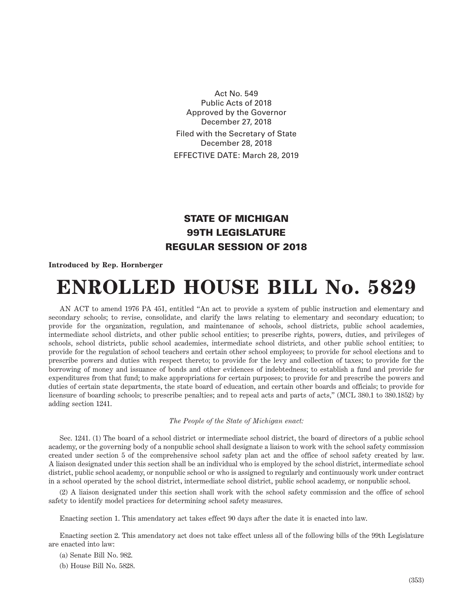Act No. 549 Public Acts of 2018 Approved by the Governor December 27, 2018 Filed with the Secretary of State December 28, 2018 EFFECTIVE DATE: March 28, 2019

## STATE OF MICHIGAN 99TH LEGISLATURE REGULAR SESSION OF 2018

**Introduced by Rep. Hornberger**

## **ENROLLED HOUSE BILL No. 5829**

AN ACT to amend 1976 PA 451, entitled "An act to provide a system of public instruction and elementary and secondary schools; to revise, consolidate, and clarify the laws relating to elementary and secondary education; to provide for the organization, regulation, and maintenance of schools, school districts, public school academies, intermediate school districts, and other public school entities; to prescribe rights, powers, duties, and privileges of schools, school districts, public school academies, intermediate school districts, and other public school entities; to provide for the regulation of school teachers and certain other school employees; to provide for school elections and to prescribe powers and duties with respect thereto; to provide for the levy and collection of taxes; to provide for the borrowing of money and issuance of bonds and other evidences of indebtedness; to establish a fund and provide for expenditures from that fund; to make appropriations for certain purposes; to provide for and prescribe the powers and duties of certain state departments, the state board of education, and certain other boards and officials; to provide for licensure of boarding schools; to prescribe penalties; and to repeal acts and parts of acts," (MCL 380.1 to 380.1852) by adding section 1241.

## *The People of the State of Michigan enact:*

Sec. 1241. (1) The board of a school district or intermediate school district, the board of directors of a public school academy, or the governing body of a nonpublic school shall designate a liaison to work with the school safety commission created under section 5 of the comprehensive school safety plan act and the office of school safety created by law. A liaison designated under this section shall be an individual who is employed by the school district, intermediate school district, public school academy, or nonpublic school or who is assigned to regularly and continuously work under contract in a school operated by the school district, intermediate school district, public school academy, or nonpublic school.

(2) A liaison designated under this section shall work with the school safety commission and the office of school safety to identify model practices for determining school safety measures.

Enacting section 1. This amendatory act takes effect 90 days after the date it is enacted into law.

Enacting section 2. This amendatory act does not take effect unless all of the following bills of the 99th Legislature are enacted into law:

(a) Senate Bill No. 982.

(b) House Bill No. 5828.